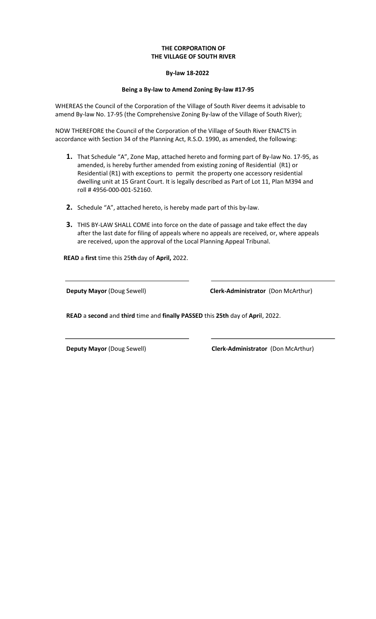## **THE CORPORATION OF THE VILLAGE OF SOUTH RIVER**

## **By-law 18-2022**

## **Being a By-law to Amend Zoning By-law #17-95**

WHEREAS the Council of the Corporation of the Village of South River deems it advisable to amend By-law No. 17-95 (the Comprehensive Zoning By-law of the Village of South River);

NOW THEREFORE the Council of the Corporation of the Village of South River ENACTS in accordance with Section 34 of the Planning Act, R.S.O. 1990, as amended, the following:

- **1.** That Schedule "A", Zone Map, attached hereto and forming part of By-law No. 17-95, as amended, is hereby further amended from existing zoning of Residential (R1) or Residential (R1) with exceptions to permit the property one accessory residential dwelling unit at 15 Grant Court. It is legally described as Part of Lot 11, Plan M394 and roll # 4956-000-001-52160.
- **2.** Schedule "A", attached hereto, is hereby made part of this by-law.
- **3.** THIS BY-LAW SHALL COME into force on the date of passage and take effect the day after the last date for filing of appeals where no appeals are received, or, where appeals are received, upon the approval of the Local Planning Appeal Tribunal.

**READ** a **first** time this 25**th**day of **April,** 2022.

**Deputy Mayor** (Doug Sewell) **Clerk-Administrator** (Don McArthur)

**READ** a **second** and **third** time and **finally PASSED** this **25th** day of **Apri**l, 2022.

**Deputy Mayor** (Doug Sewell) **Clerk-Administrator** (Don McArthur)